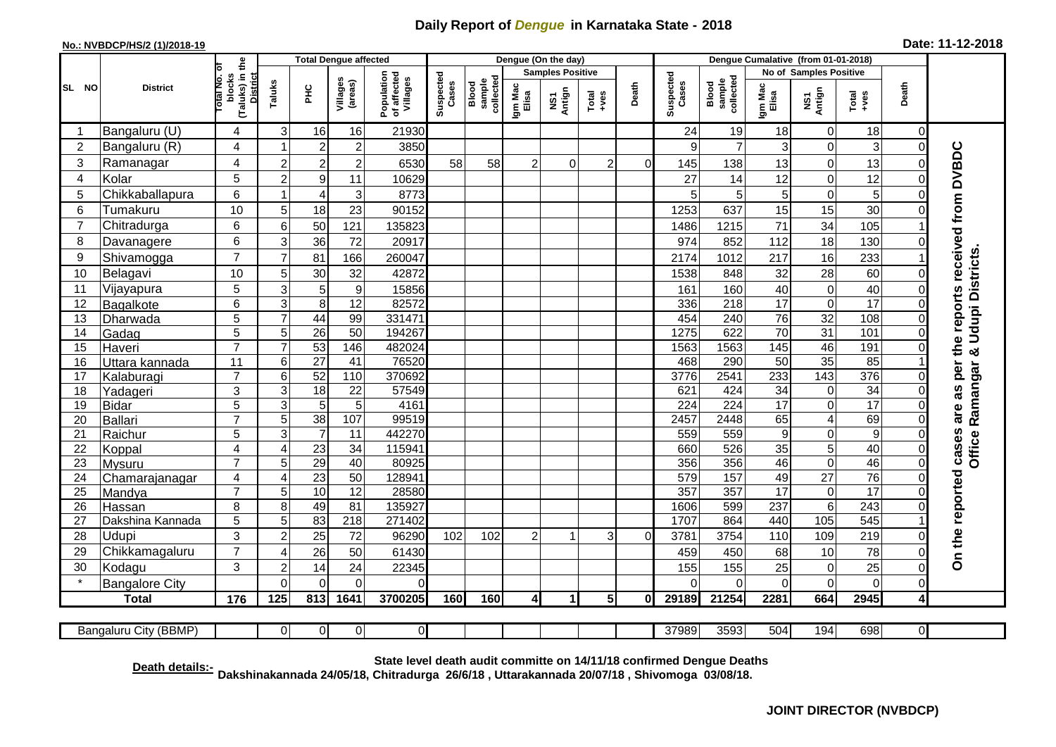## **Daily Report of** *Dengue* **in Karnataka State - 2018**

## **No.: NVBDCP/HS/2 (1)/2018-19 Date: 11-12-2018**

|                                                                                                                                                   | <b>District</b>          |                                        | <b>Total Dengue affected</b>                                   |                                       |                    |                              | Dengue (On the day) |                                 |                                                                      |       |                    |                              |                  | Dengue Cumalative (from 01-01-2018) |                  |                         |                 |                                  |                                            |  |
|---------------------------------------------------------------------------------------------------------------------------------------------------|--------------------------|----------------------------------------|----------------------------------------------------------------|---------------------------------------|--------------------|------------------------------|---------------------|---------------------------------|----------------------------------------------------------------------|-------|--------------------|------------------------------|------------------|-------------------------------------|------------------|-------------------------|-----------------|----------------------------------|--------------------------------------------|--|
|                                                                                                                                                   |                          | Гō                                     |                                                                |                                       |                    |                              |                     |                                 | <b>Samples Positive</b>                                              |       |                    |                              |                  | No of Samples Positive              |                  |                         |                 |                                  |                                            |  |
| SL NO                                                                                                                                             |                          | (Taluks) in the<br>Total No.<br>blocks | <b>District</b><br>Villages<br>Taluks<br>(areas)<br><b>PHC</b> | Population<br>of affected<br>Villages | Suspected<br>Cases | sample<br>collected<br>Blood | Igm Mac<br>Elisa    | Antign<br>$\overline{\text{S}}$ | $\begin{array}{c}\n\text{Total} \\ \text{1} & \text{1}\n\end{array}$ | Death | Suspected<br>Cases | collected<br>sample<br>Blood | Igm Mac<br>Elisa | NS1<br>Antign                       | $Tota$<br>$+ves$ | Death                   |                 |                                  |                                            |  |
|                                                                                                                                                   | Bangaluru (U)            | 4                                      | $\mathbf{3}$                                                   | 16                                    | 16                 | 21930                        |                     |                                 |                                                                      |       |                    |                              | 24               | 19                                  | 18               | $\mathbf 0$             | 18              | $\overline{0}$                   |                                            |  |
| 2                                                                                                                                                 | Bangaluru (R)            | 4                                      |                                                                | $\overline{2}$                        | $\overline{2}$     | 3850                         |                     |                                 |                                                                      |       |                    |                              | 9                | $\overline{7}$                      | 3                | $\overline{0}$          | 3               | $\overline{0}$                   |                                            |  |
| $\mathbf{3}$                                                                                                                                      | Ramanagar                | 4                                      | $\overline{2}$                                                 | $\overline{2}$                        | $\overline{c}$     | 6530                         | 58                  | 58                              | 2                                                                    | 0     | $\overline{c}$     | $\Omega$                     | 145              | 138                                 | 13               | $\mathbf 0$             | 13              | 0                                | are as per the reports received from DVBDC |  |
| 4                                                                                                                                                 | Kolar                    | 5                                      | $\overline{2}$                                                 | 9                                     | 11                 | 10629                        |                     |                                 |                                                                      |       |                    |                              | 27               | 14                                  | 12               | $\overline{0}$          | 12              | $\mathbf 0$                      |                                            |  |
| 5                                                                                                                                                 | Chikkaballapura          | 6                                      |                                                                | $\overline{4}$                        | 3                  | 8773                         |                     |                                 |                                                                      |       |                    |                              | 5                | 5                                   | $\sqrt{5}$       | $\pmb{0}$               | 5               | $\pmb{0}$                        |                                            |  |
| 6                                                                                                                                                 | Tumakuru                 | 10                                     | 5                                                              | 18                                    | 23                 | 90152                        |                     |                                 |                                                                      |       |                    |                              | 1253             | 637                                 | 15               | 15                      | 30              | 0                                |                                            |  |
| 7                                                                                                                                                 | Chitradurga              | 6                                      | 6                                                              | 50                                    | 121                | 135823                       |                     |                                 |                                                                      |       |                    |                              | 1486             | 1215                                | 71               | 34                      | 105             |                                  |                                            |  |
| 8                                                                                                                                                 | Davanagere               | 6                                      | 3                                                              | 36                                    | 72                 | 20917                        |                     |                                 |                                                                      |       |                    |                              | 974              | 852                                 | 112              | 18                      | 130             | $\mathbf 0$                      |                                            |  |
| 9                                                                                                                                                 | Shivamogga               | $\overline{7}$                         | $\overline{7}$                                                 | 81                                    | 166                | 260047                       |                     |                                 |                                                                      |       |                    |                              | 2174             | 1012                                | 217              | 16                      | 233             |                                  |                                            |  |
| 10                                                                                                                                                | Belagavi                 | 10                                     | 5                                                              | 30                                    | 32                 | 42872                        |                     |                                 |                                                                      |       |                    |                              | 1538             | 848                                 | 32               | 28                      | 60              | $\overline{0}$                   | <b>Udupi Districts</b>                     |  |
| 11                                                                                                                                                | Vijayapura               | 5                                      | 3                                                              | 5                                     | 9                  | 15856                        |                     |                                 |                                                                      |       |                    |                              | 161              | 160                                 | 40               | $\mathbf 0$             | 40              | $\pmb{0}$                        |                                            |  |
| 12                                                                                                                                                | Bagalkote                | 6                                      | 3                                                              | 8                                     | 12                 | 82572                        |                     |                                 |                                                                      |       |                    |                              | 336              | 218                                 | $\overline{17}$  | $\pmb{0}$               | $\overline{17}$ | 0                                |                                            |  |
| 13                                                                                                                                                | Dharwada                 | $\overline{5}$                         | $\overline{7}$                                                 | 44                                    | 99                 | 331471                       |                     |                                 |                                                                      |       |                    |                              | 454              | 240                                 | 76               | 32                      | 108             | $\mathbf 0$                      |                                            |  |
| 14                                                                                                                                                | Gadag                    | $\overline{5}$                         | 5                                                              | 26                                    | $\overline{50}$    | 194267                       |                     |                                 |                                                                      |       |                    |                              | 1275             | 622                                 | 70               | 31                      | 101             | $\Omega$                         |                                            |  |
| 15                                                                                                                                                | Haveri                   | $\overline{7}$                         | $\overline{7}$                                                 | 53                                    | 146                | 482024                       |                     |                                 |                                                                      |       |                    |                              | 1563             | 1563                                | 145              | 46                      | 191             | $\pmb{0}$                        | ×                                          |  |
| 16                                                                                                                                                | Uttara kannada           | $\overline{11}$                        | 6                                                              | $\overline{27}$                       | 41                 | 76520                        |                     |                                 |                                                                      |       |                    |                              | 468              | 290                                 | 50               | 35                      | 85              |                                  |                                            |  |
| 17                                                                                                                                                | Kalaburagi               | $\overline{7}$                         | 6                                                              | 52                                    | 110                | 370692                       |                     |                                 |                                                                      |       |                    |                              | 3776             | 2541                                | 233              | 143                     | 376             | $\Omega$                         | Ramangar                                   |  |
| 18                                                                                                                                                | Yadageri                 | 3                                      | 3                                                              | 18                                    | 22                 | 57549                        |                     |                                 |                                                                      |       |                    |                              | 621              | 424                                 | 34               | $\pmb{0}$               | 34              | $\Omega$                         |                                            |  |
| 19                                                                                                                                                | <b>Bidar</b>             | 5                                      | 3                                                              | 5                                     | $\overline{5}$     | 4161                         |                     |                                 |                                                                      |       |                    |                              | 224              | 224                                 | $\overline{17}$  | $\overline{\mathsf{o}}$ | 17              | 0                                |                                            |  |
| 20                                                                                                                                                | <b>Ballari</b>           | $\overline{7}$                         | 5                                                              | 38                                    | 107                | 99519                        |                     |                                 |                                                                      |       |                    |                              | 2457             | 2448                                | 65               | $\overline{\mathbf{4}}$ | 69              | $\mathbf 0$                      |                                            |  |
| 21                                                                                                                                                | Raichur                  | $\overline{5}$                         | 3                                                              | 7                                     | 11                 | 442270                       |                     |                                 |                                                                      |       |                    |                              | 559              | 559                                 | 9                | $\overline{0}$          | $\overline{9}$  | $\mathbf 0$                      | <b>Office</b>                              |  |
| 22                                                                                                                                                | Koppal                   | 4<br>$\overline{7}$                    | $\overline{4}$<br>5                                            | 23<br>29                              | 34<br>40           | 115941<br>80925              |                     |                                 |                                                                      |       |                    |                              | 660<br>356       | 526<br>356                          | 35<br>46         | 5<br>$\pmb{0}$          | 40<br>46        | $\mathsf{O}\xspace$<br>$\pmb{0}$ |                                            |  |
| 23<br>24                                                                                                                                          | <b>Mysuru</b>            | 4                                      | $\overline{4}$                                                 | 23                                    | $\overline{50}$    | 128941                       |                     |                                 |                                                                      |       |                    |                              | 579              | 157                                 | 49               | $\overline{27}$         | 76              | $\mathbf 0$                      |                                            |  |
| 25                                                                                                                                                | Chamarajanagar<br>Mandya | $\overline{7}$                         | 5                                                              | 10                                    | $\overline{12}$    | 28580                        |                     |                                 |                                                                      |       |                    |                              | 357              | 357                                 | $\overline{17}$  | $\pmb{0}$               | $\overline{17}$ | 0                                |                                            |  |
| 26                                                                                                                                                | Hassan                   | 8                                      | 8                                                              | 49                                    | 81                 | 135927                       |                     |                                 |                                                                      |       |                    |                              | 1606             | 599                                 | 237              | $\,6\,$                 | 243             | $\mathsf{O}\xspace$              |                                            |  |
| 27                                                                                                                                                | Dakshina Kannada         | 5                                      | 5                                                              | 83                                    | $\overline{218}$   | 271402                       |                     |                                 |                                                                      |       |                    |                              | 1707             | 864                                 | 440              | 105                     | 545             | $\mathbf{1}$                     |                                            |  |
| 28                                                                                                                                                | Udupi                    | 3                                      | $\overline{2}$                                                 | 25                                    | 72                 | 96290                        | 102                 | 102                             | 2                                                                    | h     | 3                  | $\Omega$                     | 3781             | 3754                                | 110              | 109                     | 219             | $\mathbf 0$                      |                                            |  |
| 29                                                                                                                                                | Chikkamagaluru           | $\overline{7}$                         | ⊿                                                              | 26                                    | 50                 | 61430                        |                     |                                 |                                                                      |       |                    |                              | 459              | 450                                 | 68               | 10                      | 78              | $\overline{0}$                   | On the reported cases                      |  |
| 30                                                                                                                                                | Kodagu                   | 3                                      | $\overline{2}$                                                 | 14                                    | 24                 | 22345                        |                     |                                 |                                                                      |       |                    |                              | 155              | 155                                 | 25               | $\mathbf 0$             | 25              | $\mathbf 0$                      |                                            |  |
|                                                                                                                                                   | <b>Bangalore City</b>    |                                        | $\Omega$                                                       | $\Omega$                              | $\Omega$           | $\Omega$                     |                     |                                 |                                                                      |       |                    |                              | $\Omega$         | $\Omega$                            | $\Omega$         | 0                       | $\mathbf 0$     | $\overline{0}$                   |                                            |  |
|                                                                                                                                                   | <b>Total</b>             | 176                                    | 125                                                            | 813                                   | 1641               | 3700205                      | 160                 | 160                             | 41                                                                   | 1     | 5 <sup>1</sup>     | $\mathbf{0}$                 | 29189            | 21254                               | 2281             | 664                     | 2945            | 4                                |                                            |  |
|                                                                                                                                                   |                          |                                        |                                                                |                                       |                    |                              |                     |                                 |                                                                      |       |                    |                              |                  |                                     |                  |                         |                 |                                  |                                            |  |
| $\overline{0}$<br>37989<br>3593<br>504<br>194<br>698<br>$\overline{\mathsf{d}}$<br>Bangaluru City (BBMP)<br>$\overline{0}$<br>$\overline{0}$<br>0 |                          |                                        |                                                                |                                       |                    |                              |                     |                                 |                                                                      |       |                    |                              |                  |                                     |                  |                         |                 |                                  |                                            |  |

**Death details:- State level death audit committe on 14/11/18 confirmed Dengue Deaths Dakshinakannada 24/05/18, Chitradurga 26/6/18 , Uttarakannada 20/07/18 , Shivomoga 03/08/18.**